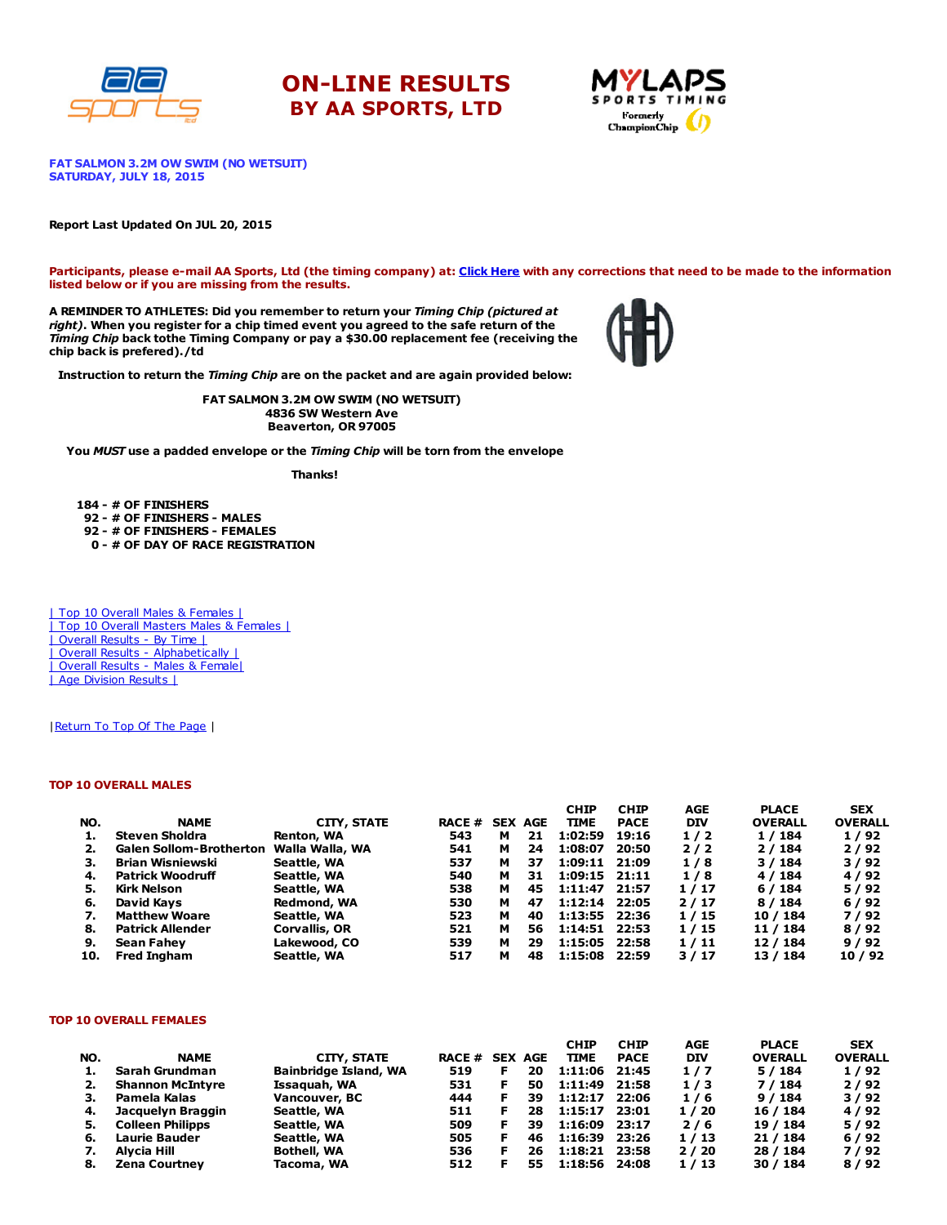





FAT SALMON 3.2M OW SWIM (NO WETSUIT) SATURDAY, JULY 18, 2015

#### Report Last Updated On JUL 20, 2015

Participants, please e-mail AA Sports, Ltd (the timing company) at: Click [Here](http://www.racecenter.com/aa-sports-results-inquiry/) with any corrections that need to be made to the information listed below or if you are missing from the results.

A REMINDER TO ATHLETES: Did you remember to return your Timing Chip (pictured at right). When you register for a chip timed event you agreed to the safe return of the Timing Chip back tothe Timing Company or pay a \$30.00 replacement fee (receiving the chip back is prefered)./td



Instruction to return the Timing Chip are on the packet and are again provided below:

FAT SALMON 3.2M OW SWIM (NO WETSUIT) 4836 SW Western Ave Beaverton, OR 97005

You MUST use a padded envelope or the Timing Chip will be torn from the envelope

Thanks!

 - # OF FINISHERS - # OF FINISHERS - MALES - # OF FINISHERS - FEMALES - # OF DAY OF RACE REGISTRATION

| Top 10 Overall Males & Females | | Top 10 Overall Masters Males & Females | | Overall Results - By Time | | Overall Results - [Alphabetically](http://www.racecenter.com/results/2015/res_s3al15.htm) | | Overall Results - Males & [Female|](http://www.racecenter.com/results/2015/res_s3og15.htm) | Age [Division](http://www.racecenter.com/results/2015/res_s3ag15.htm) Results |

| Return To Top Of The Page |

### TOP 10 OVERALL MALES

|     |                                |                 |                |   |    | <b>CHIP</b>       | <b>CHIP</b> | AGE        | <b>PLACE</b>   | <b>SEX</b>     |
|-----|--------------------------------|-----------------|----------------|---|----|-------------------|-------------|------------|----------------|----------------|
| NO. | <b>NAME</b>                    | CITY, STATE     | RACE # SEX AGE |   |    | <b>TIME</b>       | <b>PACE</b> | <b>DIV</b> | <b>OVERALL</b> | <b>OVERALL</b> |
|     | <b>Steven Sholdra</b>          | Renton, WA      | 543            | м | 21 | 1:02:59           | 19:16       | 1/2        | 1/184          | 1/92           |
|     | <b>Galen Sollom-Brotherton</b> | Walla Walla, WA | 541            | м | 24 | 1:08:07           | 20:50       | 2/2        | 2/184          | 2/92           |
| з.  | <b>Brian Wisniewski</b>        | Seattle, WA     | 537            | м | 37 | 1:09:11 21:09     |             | 1/8        | 3 / 184        | 3/92           |
| 4.  | <b>Patrick Woodruff</b>        | Seattle, WA     | 540            | м | 31 | $1:09:15$ $21:11$ |             | 1/8        | 4 / 184        | 4/92           |
| 5.  | Kirk Nelson                    | Seattle, WA     | 538            | м | 45 | 1:11:47 21:57     |             | 1/17       | 6 / 184        | 5/92           |
| 6.  | David Kavs                     | Redmond, WA     | 530            | м | 47 | 1:12:14 22:05     |             | 2/17       | 8 / 184        | 6/92           |
| 7.  | <b>Matthew Woare</b>           | Seattle, WA     | 523            | м | 40 | 1:13:55 22:36     |             | 1/15       | 10 / 184       | 7/92           |
| 8.  | <b>Patrick Allender</b>        | Corvallis, OR   | 521            | м | 56 | 1:14:51 22:53     |             | 1/15       | 11 / 184       | 8/92           |
| 9.  | Sean Fahev                     | Lakewood, CO    | 539            | м | 29 | 1:15:05 22:58     |             | 1/11       | 12 / 184       | 9/92           |
| 10. | <b>Fred Ingham</b>             | Seattle, WA     | 517            | м | 48 | 1:15:08           | 22:59       | 3/17       | 13 / 184       | 10/92          |

#### TOP 10 OVERALL FEMALES

|     |                         |                              |                |    | <b>CHIP</b> | <b>CHIP</b> | AGE        | <b>PLACE</b>   | <b>SEX</b>     |
|-----|-------------------------|------------------------------|----------------|----|-------------|-------------|------------|----------------|----------------|
| NO. | <b>NAME</b>             | CITY, STATE                  | RACE # SEX AGE |    | <b>TIME</b> | <b>PACE</b> | <b>DIV</b> | <b>OVERALL</b> | <b>OVERALL</b> |
| ı.  | Sarah Grundman          | <b>Bainbridge Island, WA</b> | 519            | 20 | 1:11:06     | 21:45       | 1/7        | 5/184          | 1/92           |
| 2.  | <b>Shannon McIntyre</b> | Issaquah, WA                 | 531            | 50 | 1:11:49     | 21:58       | 1/3        | 7 / 184        | 2/92           |
| з.  | Pamela Kalas            | Vancouver, BC                | 444            | 39 | 1:12:17     | 22:06       | 1/6        | 9/184          | 3/92           |
| 4.  | Jacquelyn Braggin       | Seattle, WA                  | 511            | 28 | 1:15:17     | 23:01       | 1/20       | 16 / 184       | 4/92           |
| 5.  | <b>Colleen Philipps</b> | Seattle, WA                  | 509            | 39 | 1:16:09     | 23:17       | 2/6        | 19 / 184       | 5/92           |
| 6.  | <b>Laurie Bauder</b>    | Seattle, WA                  | 505            | 46 | 1:16:39     | 23:26       | 1/13       | 21 / 184       | 6/92           |
| 7.  | Alvcia Hill             | <b>Bothell, WA</b>           | 536            | 26 | 1:18:21     | 23:58       | 2/20       | 28 / 184       | 7/92           |
| 8.  | <b>Zena Courtney</b>    | Tacoma, WA                   | 512            | 55 | 1:18:56     | 24:08       | 1/13       | 30 / 184       | 8/92           |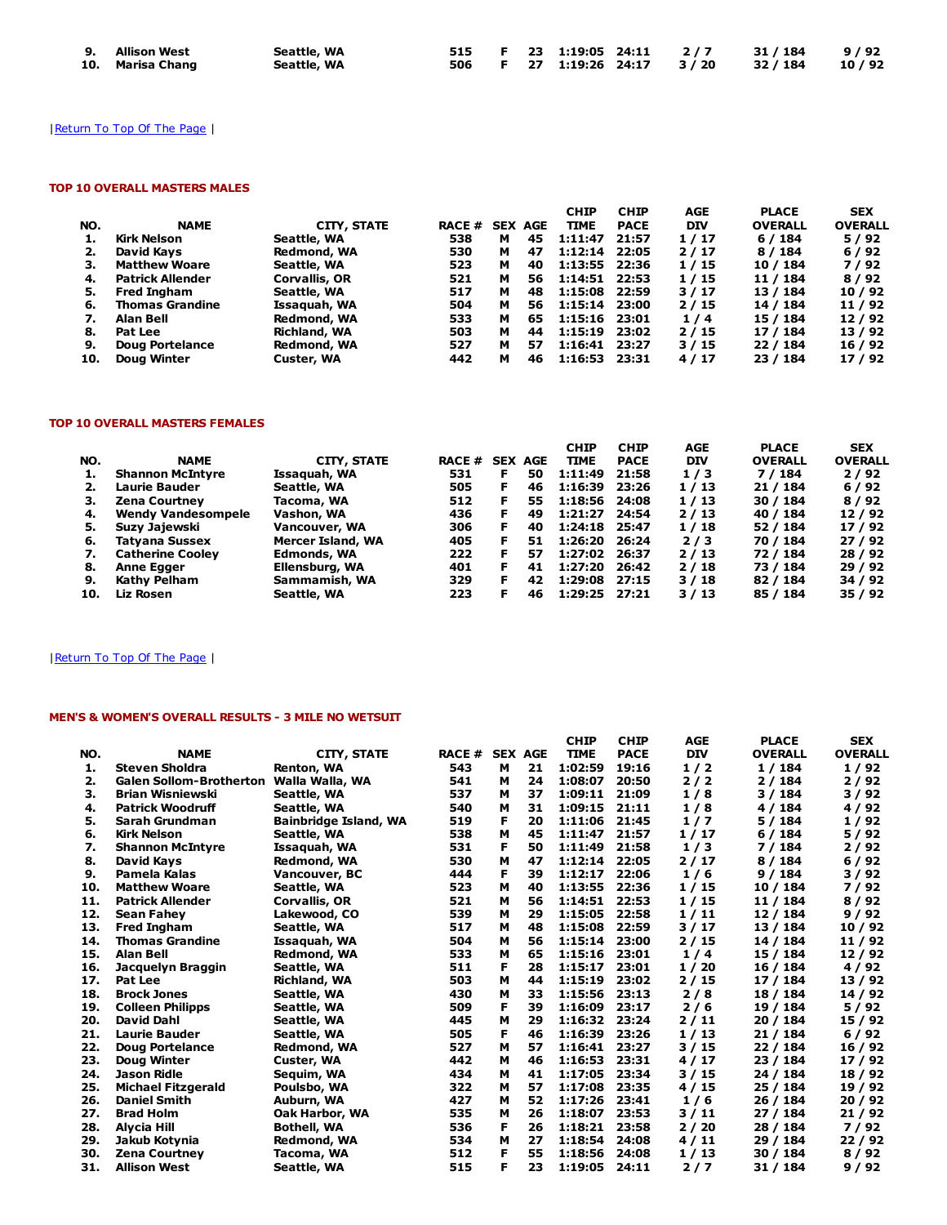| 9. Allison West  | Seattle, WA |  |  |  | 515 F 23 1:19:05 24:11 2/7 31/184 9/92   |  |
|------------------|-------------|--|--|--|------------------------------------------|--|
| 10. Marisa Chang | Seattle, WA |  |  |  | 506 F 27 1:19:26 24:17 3/20 32/184 10/92 |  |

# | Return To Top Of The Page |

## TOP 10 OVERALL MASTERS MALES

|     |                         |                     |               |   |                | <b>CHIP</b>   | <b>CHIP</b> | AGE        | <b>PLACE</b>   | <b>SEX</b>     |
|-----|-------------------------|---------------------|---------------|---|----------------|---------------|-------------|------------|----------------|----------------|
| NO. | <b>NAME</b>             | CITY, STATE         | <b>RACE #</b> |   | <b>SEX AGE</b> | <b>TIME</b>   | <b>PACE</b> | <b>DIV</b> | <b>OVERALL</b> | <b>OVERALL</b> |
|     | Kirk Nelson             | Seattle, WA         | 538           | м | 45             | 1:11:47       | 21:57       | 1/17       | 6/184          | 5/92           |
|     | David Kavs              | Redmond, WA         | 530           | м | 47             | 1:12:14       | 22:05       | 2/17       | 8/184          | 6/92           |
| з.  | <b>Matthew Woare</b>    | Seattle, WA         | 523           | м | 40             | 1:13:55 22:36 |             | 1/15       | 10 / 184       | 7/92           |
| 4.  | <b>Patrick Allender</b> | Corvallis, OR       | 521           | м | 56             | 1:14:51 22:53 |             | 1/15       | 11 / 184       | 8/92           |
| 5.  | <b>Fred Ingham</b>      | Seattle, WA         | 517           | м | 48             | 1:15:08 22:59 |             | 3/17       | 13 / 184       | 10/92          |
| 6.  | <b>Thomas Grandine</b>  | Issaquah, WA        | 504           | м | 56             | 1:15:14 23:00 |             | 2/15       | 14 / 184       | 11/92          |
|     | Alan Bell               | Redmond, WA         | 533           | м | 65             | 1:15:16 23:01 |             | 1/4        | 15 / 184       | 12/92          |
| 8.  | Pat Lee                 | <b>Richland, WA</b> | 503           | м | 44             | 1:15:19 23:02 |             | 2/15       | 17 / 184       | 13/92          |
| 9.  | Doug Portelance         | Redmond, WA         | 527           | м | 57             | 1:16:41 23:27 |             | 3/15       | 22 / 184       | 16 / 92        |
| 10. | <b>Doug Winter</b>      | Custer, WA          | 442           | м | 46             | 1:16:53       | 23:31       | 4/17       | 23 / 184       | 17 / 92        |

## TOP 10 OVERALL MASTERS FEMALES

|     |                           |                    |                |    |    | <b>CHIP</b>   | <b>CHIP</b> | AGE        | <b>PLACE</b>   | <b>SEX</b>     |
|-----|---------------------------|--------------------|----------------|----|----|---------------|-------------|------------|----------------|----------------|
| NO. | <b>NAME</b>               | <b>CITY, STATE</b> | RACE # SEX AGE |    |    | <b>TIME</b>   | <b>PACE</b> | <b>DIV</b> | <b>OVERALL</b> | <b>OVERALL</b> |
| 1.  | <b>Shannon McIntyre</b>   | Issaquah, WA       | 531            | F  | 50 | 1:11:49       | 21:58       | 1/3        | 7 / 184        | 2/92           |
| 2.  | <b>Laurie Bauder</b>      | Seattle, WA        | 505            | F. | 46 | 1:16:39       | 23:26       | 1/13       | 21 / 184       | 6/92           |
| з.  | Zena Courtney             | Tacoma, WA         | 512            | F  | 55 | 1:18:56       | 24:08       | 1/13       | 30 / 184       | 8/92           |
| 4.  | <b>Wendy Vandesompele</b> | Vashon, WA         | 436            | F  | 49 | 1:21:27       | 24:54       | 2/13       | 40 / 184       | 12/92          |
| 5.  | Suzy Jajewski             | Vancouver, WA      | 306            | F  | 40 | 1:24:18 25:47 |             | 1/18       | 52 / 184       | 17/92          |
| 6.  | Tatvana Sussex            | Mercer Island, WA  | 405            |    | 51 | 1:26:20 26:24 |             | 2/3        | 70 / 184       | 27/92          |
| 7.  | <b>Catherine Coolev</b>   | Edmonds, WA        | 222            | F  | 57 | 1:27:02 26:37 |             | 2/13       | 72 / 184       | 28/92          |
| 8.  | <b>Anne Egger</b>         | Ellensburg, WA     | 401            | F  | 41 | 1:27:20       | 26:42       | 2/18       | 73 / 184       | 29/92          |
| 9.  | Kathy Pelham              | Sammamish, WA      | 329            | F  | 42 | 1:29:08       | 27:15       | 3/18       | 82 / 184       | 34 / 92        |
| 10. | Liz Rosen                 | Seattle, WA        | 223            | F  | 46 | 1:29:25 27:21 |             | 3/13       | 85 / 184       | 35/92          |

# | Return To Top Of The Page |

# MEN'S & WOMEN'S OVERALL RESULTS - 3 MILE NO WETSUIT

|     |                                |                              |       |   |                | <b>CHIP</b> | <b>CHIP</b> | <b>AGE</b> | <b>PLACE</b>   | <b>SEX</b>     |
|-----|--------------------------------|------------------------------|-------|---|----------------|-------------|-------------|------------|----------------|----------------|
| NO. | <b>NAME</b>                    | <b>CITY, STATE</b>           | RACE# |   | <b>SEX AGE</b> | <b>TIME</b> | <b>PACE</b> | <b>DIV</b> | <b>OVERALL</b> | <b>OVERALL</b> |
| 1.  | <b>Steven Sholdra</b>          | Renton, WA                   | 543   | м | 21             | 1:02:59     | 19:16       | 1/2        | 1/184          | 1/92           |
| 2.  | <b>Galen Sollom-Brotherton</b> | Walla Walla, WA              | 541   | м | 24             | 1:08:07     | 20:50       | 2/2        | 2/184          | 2/92           |
| 3.  | <b>Brian Wisniewski</b>        | Seattle, WA                  | 537   | м | 37             | 1:09:11     | 21:09       | 1/8        | 3/184          | 3/92           |
| 4.  | <b>Patrick Woodruff</b>        | Seattle, WA                  | 540   | м | 31             | 1:09:15     | 21:11       | 1/8        | 4 / 184        | 4/92           |
| 5.  | Sarah Grundman                 | <b>Bainbridge Island, WA</b> | 519   | F | 20             | 1:11:06     | 21:45       | 1/7        | 5/184          | 1/92           |
| 6.  | <b>Kirk Nelson</b>             | Seattle, WA                  | 538   | М | 45             | 1:11:47     | 21:57       | 1/17       | 6/184          | 5/92           |
| 7.  | <b>Shannon McIntyre</b>        | Issaquah, WA                 | 531   | F | 50             | 1:11:49     | 21:58       | 1/3        | 7 / 184        | 2/92           |
| 8.  | David Kays                     | Redmond, WA                  | 530   | M | 47             | 1:12:14     | 22:05       | 2/17       | 8/184          | 6/92           |
| 9.  | Pamela Kalas                   | Vancouver, BC                | 444   | F | 39             | 1:12:17     | 22:06       | 1/6        | 9/184          | 3/92           |
| 10. | <b>Matthew Woare</b>           | Seattle, WA                  | 523   | м | 40             | 1:13:55     | 22:36       | 1/15       | 10 / 184       | 7/92           |
| 11. | <b>Patrick Allender</b>        | <b>Corvallis, OR</b>         | 521   | м | 56             | 1:14:51     | 22:53       | 1/15       | 11 / 184       | 8/92           |
| 12. | <b>Sean Fahey</b>              | Lakewood, CO                 | 539   | м | 29             | 1:15:05     | 22:58       | 1/11       | 12 / 184       | 9/92           |
| 13. | <b>Fred Ingham</b>             | Seattle, WA                  | 517   | м | 48             | 1:15:08     | 22:59       | 3/17       | 13 / 184       | 10/92          |
| 14. | <b>Thomas Grandine</b>         | Issaquah, WA                 | 504   | м | 56             | 1:15:14     | 23:00       | 2/15       | 14 / 184       | 11/92          |
| 15. | <b>Alan Bell</b>               | Redmond, WA                  | 533   | М | 65             | 1:15:16     | 23:01       | 1/4        | 15 / 184       | 12/92          |
| 16. | Jacquelyn Braggin              | Seattle, WA                  | 511   | F | 28             | 1:15:17     | 23:01       | 1/20       | 16 / 184       | 4/92           |
| 17. | Pat Lee                        | <b>Richland, WA</b>          | 503   | M | 44             | 1:15:19     | 23:02       | 2/15       | 17 / 184       | 13/92          |
| 18. | <b>Brock Jones</b>             | Seattle, WA                  | 430   | м | 33             | 1:15:56     | 23:13       | 2/8        | 18 / 184       | 14 / 92        |
| 19. | <b>Colleen Philipps</b>        | Seattle, WA                  | 509   | F | 39             | 1:16:09     | 23:17       | 2/6        | 19 / 184       | 5/92           |
| 20. | <b>David Dahl</b>              | Seattle, WA                  | 445   | м | 29             | 1:16:32     | 23:24       | 2/11       | 20 / 184       | 15 / 92        |
| 21. | Laurie Bauder                  | Seattle, WA                  | 505   | F | 46             | 1:16:39     | 23:26       | 1/13       | 21 / 184       | 6/92           |
| 22. | <b>Doug Portelance</b>         | Redmond, WA                  | 527   | м | 57             | 1:16:41     | 23:27       | 3/15       | 22 / 184       | 16 / 92        |
| 23. | <b>Doug Winter</b>             | Custer, WA                   | 442   | м | 46             | 1:16:53     | 23:31       | 4/17       | 23 / 184       | 17/92          |
| 24. | Jason Ridle                    | Seguim, WA                   | 434   | м | 41             | 1:17:05     | 23:34       | 3/15       | 24 / 184       | 18 / 92        |
| 25. | <b>Michael Fitzgerald</b>      | Poulsbo, WA                  | 322   | м | 57             | 1:17:08     | 23:35       | 4/15       | 25 / 184       | 19 / 92        |
| 26. | <b>Daniel Smith</b>            | Auburn, WA                   | 427   | м | 52             | 1:17:26     | 23:41       | 1/6        | 26 / 184       | 20 / 92        |
| 27. | <b>Brad Holm</b>               | <b>Oak Harbor, WA</b>        | 535   | M | 26             | 1:18:07     | 23:53       | 3/11       | 27 / 184       | 21 / 92        |
| 28. | <b>Alycia Hill</b>             | <b>Bothell, WA</b>           | 536   | F | 26             | 1:18:21     | 23:58       | 2/20       | 28 / 184       | 7/92           |
| 29. | Jakub Kotynia                  | Redmond, WA                  | 534   | M | 27             | 1:18:54     | 24:08       | 4/11       | 29 / 184       | 22/92          |
| 30. | <b>Zena Courtney</b>           | Tacoma, WA                   | 512   | F | 55             | 1:18:56     | 24:08       | 1/13       | 30 / 184       | 8/92           |
| 31. | <b>Allison West</b>            | Seattle, WA                  | 515   | F | 23             | 1:19:05     | 24:11       | 2/7        | 31 / 184       | 9/92           |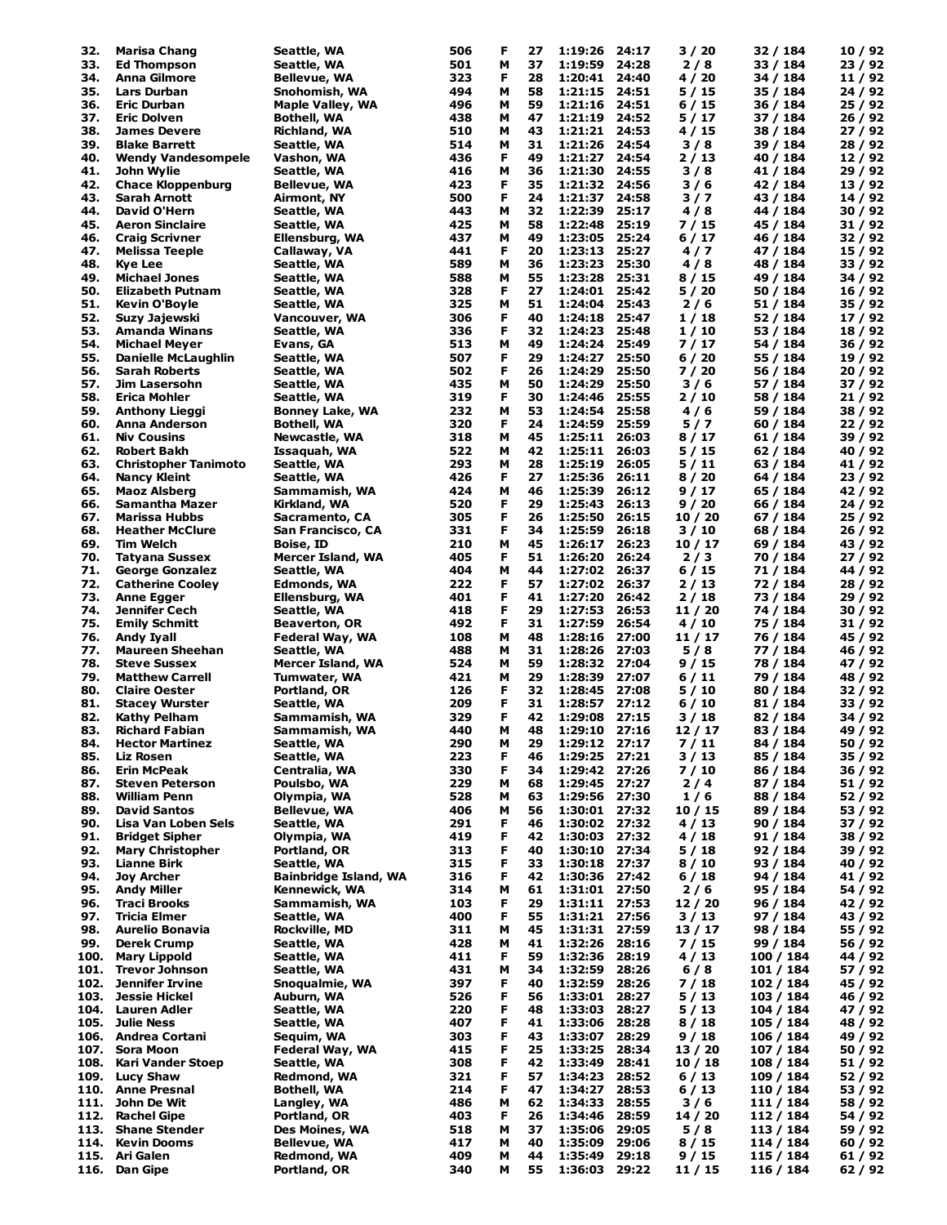| 32.  | Marisa Chang                | Seattle, WA                  | 506 | F | 27 | 1:19:26       | 24:17 | 3/20    | 32 / 184  | 10 / 92 |
|------|-----------------------------|------------------------------|-----|---|----|---------------|-------|---------|-----------|---------|
| 33.  | <b>Ed Thompson</b>          | Seattle, WA                  | 501 | м | 37 | 1:19:59       | 24:28 | 2/8     | 33 / 184  | 23 / 92 |
|      |                             |                              |     |   |    |               |       |         |           |         |
| 34.  | <b>Anna Gilmore</b>         | Bellevue, WA                 | 323 | F | 28 | 1:20:41 24:40 |       | 4 / 20  | 34 / 184  | 11 / 92 |
| 35.  | Lars Durban                 | Snohomish, WA                | 494 | м | 58 | 1:21:15       | 24:51 | 5 / 15  | 35 / 184  | 24 / 92 |
| 36.  | <b>Eric Durban</b>          | <b>Maple Valley, WA</b>      | 496 | М | 59 | 1:21:16 24:51 |       | 6 / 15  | 36 / 184  | 25 / 92 |
| 37.  | <b>Eric Dolven</b>          | Bothell, WA                  | 438 | M | 47 | 1:21:19       | 24:52 | 5 / 17  | 37 / 184  | 26 / 92 |
| 38.  | <b>James Devere</b>         | Richland, WA                 | 510 | M | 43 | 1:21:21 24:53 |       | 4 / 15  | 38 / 184  | 27 / 92 |
| 39.  | <b>Blake Barrett</b>        | Seattle, WA                  | 514 | M | 31 | 1:21:26       | 24:54 | 3/8     | 39 / 184  | 28 / 92 |
|      |                             |                              |     |   |    |               |       |         |           |         |
| 40.  | <b>Wendy Vandesompele</b>   | Vashon, WA                   | 436 | F | 49 | 1:21:27       | 24:54 | 2 / 13  | 40 / 184  | 12 / 92 |
| 41.  | John Wylie                  | Seattle, WA                  | 416 | M | 36 | 1:21:30       | 24:55 | 3/8     | 41 / 184  | 29 / 92 |
| 42.  | <b>Chace Kloppenburg</b>    | Bellevue, WA                 | 423 | F | 35 | 1:21:32       | 24:56 | 3/6     | 42 / 184  | 13 / 92 |
| 43.  | Sarah Arnott                | Airmont, NY                  | 500 | F | 24 | 1:21:37       | 24:58 | 3/7     | 43 / 184  | 14 / 92 |
| 44.  | David O'Hern                | Seattle, WA                  | 443 | M | 32 | 1:22:39       | 25:17 | 4/8     | 44 / 184  | 30 / 92 |
|      |                             |                              |     |   |    |               |       |         |           |         |
| 45.  | <b>Aeron Sinclaire</b>      | Seattle, WA                  | 425 | M | 58 | 1:22:48       | 25:19 | 7 / 15  | 45 / 184  | 31 / 92 |
| 46.  | <b>Craig Scrivner</b>       | Ellensburg, WA               | 437 | м | 49 | 1:23:05       | 25:24 | 6 / 17  | 46 / 184  | 32 / 92 |
| 47.  | <b>Melissa Teeple</b>       | Callaway, VA                 | 441 | F | 20 | 1:23:13       | 25:27 | 4/7     | 47 / 184  | 15 / 92 |
| 48.  | Kye Lee                     | Seattle, WA                  | 589 | M | 36 | 1:23:23       | 25:30 | 4/8     | 48 / 184  | 33 / 92 |
| 49.  | <b>Michael Jones</b>        | Seattle, WA                  | 588 | м | 55 | 1:23:28       | 25:31 | 8 / 15  | 49 / 184  | 34 / 92 |
|      |                             |                              |     |   |    |               |       |         |           |         |
| 50.  | Elizabeth Putnam            | Seattle, WA                  | 328 | F | 27 | 1:24:01       | 25:42 | 5 / 20  | 50 / 184  | 16 / 92 |
| 51.  | Kevin O'Boyle               | Seattle, WA                  | 325 | M | 51 | 1:24:04       | 25:43 | 2/6     | 51 / 184  | 35 / 92 |
| 52.  | Suzy Jajewski               | Vancouver, WA                | 306 | F | 40 | 1:24:18       | 25:47 | 1 / 18  | 52 / 184  | 17 / 92 |
| 53.  | <b>Amanda Winans</b>        | Seattle, WA                  | 336 | F | 32 | 1:24:23       | 25:48 | 1 / 10  | 53 / 184  | 18 / 92 |
| 54.  |                             |                              | 513 | м | 49 | 1:24:24       | 25:49 | 7 / 17  | 54 / 184  | 36 / 92 |
|      | Michael Meyer               | Evans, GA                    |     |   |    |               |       |         |           |         |
| 55.  | Danielle McLaughlin         | Seattle, WA                  | 507 | F | 29 | 1:24:27       | 25:50 | 6/20    | 55 / 184  | 19 / 92 |
| 56.  | <b>Sarah Roberts</b>        | Seattle, WA                  | 502 | F | 26 | 1:24:29       | 25:50 | 7 / 20  | 56 / 184  | 20 / 92 |
| 57.  | Jim Lasersohn               | Seattle, WA                  | 435 | м | 50 | 1:24:29       | 25:50 | 3/6     | 57 / 184  | 37 / 92 |
| 58.  | <b>Erica Mohler</b>         | Seattle, WA                  | 319 | F | 30 | 1:24:46       | 25:55 | 2/10    | 58 / 184  | 21 / 92 |
| 59.  |                             |                              | 232 | м | 53 |               | 25:58 |         |           |         |
|      | <b>Anthony Lieggi</b>       | <b>Bonney Lake, WA</b>       |     |   |    | 1:24:54       |       | 4/6     | 59 / 184  | 38 / 92 |
| 60.  | <b>Anna Anderson</b>        | Bothell, WA                  | 320 | F | 24 | 1:24:59       | 25:59 | 5/7     | 60 / 184  | 22/92   |
| 61.  | <b>Niv Cousins</b>          | Newcastle, WA                | 318 | м | 45 | 1:25:11       | 26:03 | 8 / 17  | 61 / 184  | 39 / 92 |
| 62.  | <b>Robert Bakh</b>          | Issaquah, WA                 | 522 | M | 42 | 1:25:11       | 26:03 | 5 / 15  | 62 / 184  | 40 / 92 |
| 63.  | <b>Christopher Tanimoto</b> | Seattle, WA                  | 293 | M | 28 | 1:25:19       | 26:05 | 5 / 11  | 63 / 184  | 41 / 92 |
|      | <b>Nancy Kleint</b>         |                              |     | F |    | 1:25:36       | 26:11 |         |           |         |
| 64.  |                             | Seattle, WA                  | 426 |   | 27 |               |       | 8/20    | 64 / 184  | 23 / 92 |
| 65.  | <b>Maoz Alsberg</b>         | Sammamish, WA                | 424 | м | 46 | 1:25:39       | 26:12 | 9 / 17  | 65 / 184  | 42 / 92 |
| 66.  | Samantha Mazer              | Kirkland, WA                 | 520 | F | 29 | 1:25:43       | 26:13 | 9/20    | 66 / 184  | 24 / 92 |
| 67.  | Marissa Hubbs               | Sacramento, CA               | 305 | F | 26 | 1:25:50       | 26:15 | 10 / 20 | 67 / 184  | 25 / 92 |
| 68.  | <b>Heather McClure</b>      | San Francisco, CA            | 331 | F | 34 | 1:25:59       | 26:18 | 3/10    | 68 / 184  | 26 / 92 |
|      | <b>Tim Welch</b>            |                              |     | M | 45 |               |       |         |           |         |
| 69.  |                             | Boise, ID                    | 210 |   |    | 1:26:17       | 26:23 | 10 / 17 | 69 / 184  | 43 / 92 |
| 70.  | <b>Tatyana Sussex</b>       | Mercer Island, WA            | 405 | F | 51 | 1:26:20       | 26:24 | 2/3     | 70 / 184  | 27 / 92 |
| 71.  | <b>George Gonzalez</b>      | Seattle, WA                  | 404 | м | 44 | 1:27:02       | 26:37 | 6/15    | 71 / 184  | 44 / 92 |
| 72.  | <b>Catherine Cooley</b>     | Edmonds, WA                  | 222 | F | 57 | 1:27:02       | 26:37 | 2 / 13  | 72 / 184  | 28 / 92 |
| 73.  | <b>Anne Egger</b>           | Ellensburg, WA               | 401 | F | 41 | 1:27:20       | 26:42 | 2 / 18  | 73 / 184  | 29 / 92 |
| 74.  | Jennifer Cech               | Seattle, WA                  | 418 | F | 29 | 1:27:53       | 26:53 | 11 / 20 | 74 / 184  | 30 / 92 |
|      |                             |                              |     |   |    |               |       |         |           |         |
| 75.  | <b>Emily Schmitt</b>        | <b>Beaverton, OR</b>         | 492 | F | 31 | 1:27:59       | 26:54 | 4/10    | 75 / 184  | 31 / 92 |
| 76.  | Andy Iyall                  | Federal Way, WA              | 108 | M | 48 | 1:28:16       | 27:00 | 11 / 17 | 76 / 184  | 45 / 92 |
| 77.  | <b>Maureen Sheehan</b>      | Seattle, WA                  | 488 | M | 31 | 1:28:26       | 27:03 | 5/8     | 77 / 184  | 46 / 92 |
| 78.  | <b>Steve Sussex</b>         | Mercer Island, WA            | 524 | M | 59 | 1:28:32       | 27:04 | 9 / 15  | 78 / 184  | 47 / 92 |
| 79.  | <b>Matthew Carrell</b>      | Tumwater, WA                 | 421 | M | 29 | 1:28:39       | 27:07 | 6 / 11  | 79 / 184  | 48 / 92 |
|      |                             |                              |     |   |    |               |       |         |           |         |
| 80.  | <b>Claire Oester</b>        | Portland, OR                 | 126 | F | 32 | 1:28:45       | 27:08 | 5 / 10  | 80 / 184  | 32 / 92 |
| 81.  | <b>Stacey Wurster</b>       | Seattle, WA                  | 209 | F | 31 | 1:28:57       | 27:12 | 6 / 10  | 81 / 184  | 33 / 92 |
| 82.  | Kathy Pelham                | Sammamish, WA                | 329 | F | 42 | 1:29:08       | 27:15 | 3 / 18  | 82 / 184  | 34 / 92 |
| 83.  | <b>Richard Fabian</b>       | Sammamish, WA                | 440 | М | 48 | 1:29:10       | 27:16 | 12 / 17 | 83 / 184  | 49 / 92 |
| 84.  |                             |                              |     | M |    |               | 27:17 |         |           | 50 / 92 |
|      | <b>Hector Martinez</b>      | Seattle, WA                  | 290 |   | 29 | 1:29:12       |       | 7/11    | 84 / 184  |         |
| 85.  | Liz Rosen                   | Seattle, WA                  | 223 | F | 46 | 1:29:25       | 27:21 | 3/13    | 85 / 184  | 35/92   |
| 86.  | <b>Erin McPeak</b>          | Centralia, WA                | 330 | F | 34 | 1:29:42       | 27:26 | 7 / 10  | 86 / 184  | 36 / 92 |
| 87.  | <b>Steven Peterson</b>      | Poulsbo, WA                  | 229 | М | 68 | 1:29:45       | 27:27 | $2/4$   | 87 / 184  | 51 / 92 |
| 88.  | William Penn                | Olympia, WA                  | 528 | м | 63 | 1:29:56       | 27:30 | 1/6     | 88 / 184  | 52/92   |
| 89.  | <b>David Santos</b>         | <b>Bellevue, WA</b>          | 406 | M | 56 | 1:30:01 27:32 |       | 10 / 15 | 89 / 184  | 53/92   |
|      |                             |                              |     |   |    |               |       |         |           |         |
| 90.  | Lisa Van Loben Sels         | Seattle, WA                  | 291 | F | 46 | 1:30:02       | 27:32 | 4/13    | 90 / 184  | 37/92   |
| 91.  | <b>Bridget Sipher</b>       | Olympia, WA                  | 419 | F | 42 | 1:30:03       | 27:32 | 4 / 18  | 91 / 184  | 38 / 92 |
| 92.  | <b>Mary Christopher</b>     | Portland, OR                 | 313 | F | 40 | 1:30:10       | 27:34 | 5 / 18  | 92 / 184  | 39 / 92 |
| 93.  | <b>Lianne Birk</b>          | Seattle, WA                  | 315 | F | 33 | 1:30:18       | 27:37 | 8 / 10  | 93 / 184  | 40 / 92 |
| 94.  | <b>Joy Archer</b>           | <b>Bainbridge Island, WA</b> | 316 | F | 42 | 1:30:36       | 27:42 | 6 / 18  | 94 / 184  | 41 / 92 |
|      | <b>Andy Miller</b>          | Kennewick, WA                |     |   |    |               |       |         |           |         |
| 95.  |                             |                              | 314 | м | 61 | 1:31:01 27:50 |       | 2/6     | 95 / 184  | 54 / 92 |
| 96.  | <b>Traci Brooks</b>         | Sammamish, WA                | 103 | F | 29 | 1:31:11 27:53 |       | 12 / 20 | 96 / 184  | 42 / 92 |
| 97.  | <b>Tricia Elmer</b>         | Seattle, WA                  | 400 | F | 55 | 1:31:21 27:56 |       | 3/13    | 97 / 184  | 43 / 92 |
| 98.  | Aurelio Bonavia             | Rockville, MD                | 311 | м | 45 | 1:31:31 27:59 |       | 13 / 17 | 98 / 184  | 55 / 92 |
| 99.  | Derek Crump                 | Seattle, WA                  | 428 | M | 41 | 1:32:26       | 28:16 | 7/15    | 99 / 184  | 56 / 92 |
|      | <b>Mary Lippold</b>         |                              | 411 | F | 59 |               | 28:19 | 4 / 13  |           | 44 / 92 |
| 100. |                             | Seattle, WA                  |     |   |    | 1:32:36       |       |         | 100 / 184 |         |
| 101. | <b>Trevor Johnson</b>       | Seattle, WA                  | 431 | М | 34 | 1:32:59       | 28:26 | 6/8     | 101 / 184 | 57 / 92 |
| 102. | Jennifer Irvine             | Snoqualmie, WA               | 397 | F | 40 | 1:32:59       | 28:26 | 7 / 18  | 102 / 184 | 45 / 92 |
| 103. | <b>Jessie Hickel</b>        | Auburn, WA                   | 526 | F | 56 | 1:33:01       | 28:27 | 5 / 13  | 103 / 184 | 46 / 92 |
| 104. | <b>Lauren Adler</b>         | Seattle, WA                  | 220 | F | 48 | 1:33:03       | 28:27 | 5/13    | 104 / 184 | 47 / 92 |
|      |                             |                              |     |   |    |               |       |         |           |         |
| 105. | Julie Ness                  | Seattle, WA                  | 407 | F | 41 | 1:33:06       | 28:28 | 8 / 18  | 105 / 184 | 48 / 92 |
| 106. | <b>Andrea Cortani</b>       | Sequim, WA                   | 303 | F | 43 | 1:33:07       | 28:29 | 9/18    | 106 / 184 | 49 / 92 |
| 107. | Sora Moon                   | Federal Way, WA              | 415 | F | 25 | 1:33:25       | 28:34 | 13 / 20 | 107 / 184 | 50 / 92 |
| 108. | <b>Kari Vander Stoep</b>    | Seattle, WA                  | 308 | F | 42 | 1:33:49       | 28:41 | 10 / 18 | 108 / 184 | 51/92   |
| 109. | <b>Lucy Shaw</b>            | Redmond, WA                  | 321 | F | 57 | 1:34:23       | 28:52 | 6/13    | 109 / 184 | 52 / 92 |
|      |                             |                              |     |   |    |               |       |         |           |         |
| 110. | <b>Anne Presnal</b>         | Bothell, WA                  | 214 | F | 47 | 1:34:27       | 28:53 | 6 / 13  | 110 / 184 | 53 / 92 |
| 111. | John De Wit                 | Langley, WA                  | 486 | м | 62 | 1:34:33       | 28:55 | 3/6     | 111 / 184 | 58 / 92 |
| 112. | <b>Rachel Gipe</b>          | Portland, OR                 | 403 | F | 26 | 1:34:46       | 28:59 | 14 / 20 | 112 / 184 | 54 / 92 |
| 113. | <b>Shane Stender</b>        | Des Moines, WA               | 518 | м | 37 | 1:35:06       | 29:05 | 5/8     | 113 / 184 | 59 / 92 |
| 114. | <b>Kevin Dooms</b>          | Bellevue, WA                 | 417 | М | 40 | 1:35:09       | 29:06 | 8 / 15  | 114 / 184 | 60 / 92 |
|      |                             |                              |     |   |    |               |       |         |           |         |
|      | 115. Ari Galen              | Redmond, WA                  | 409 | М | 44 | 1:35:49       | 29:18 | 9/15    | 115 / 184 | 61/92   |
|      | 116. Dan Gipe               | Portland, OR                 | 340 | М | 55 | 1:36:03 29:22 |       | 11 / 15 | 116 / 184 | 62/92   |